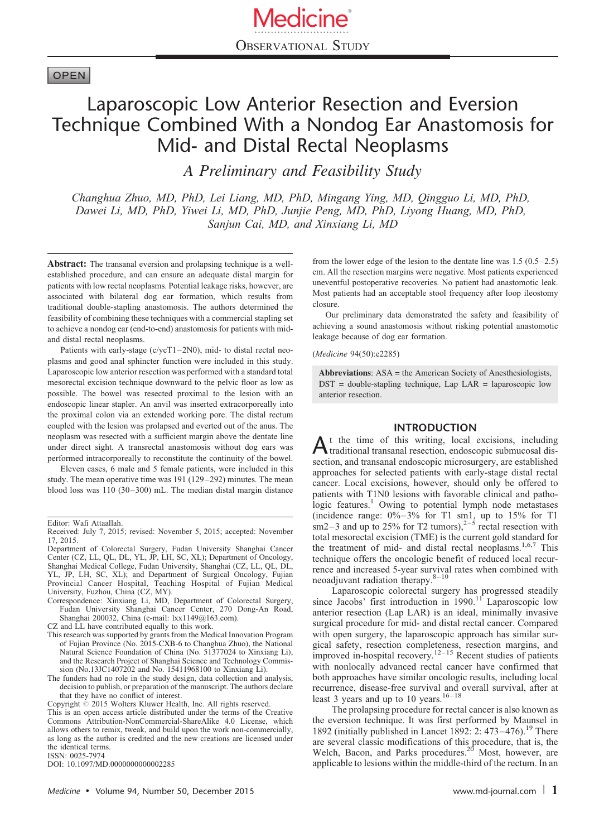# **OPEN**

# Laparoscopic Low Anterior Resection and Eversion Technique Combined With a Nondog Ear Anastomosis for Mid- and Distal Rectal Neoplasms

A Preliminary and Feasibility Study

Changhua Zhuo, MD, PhD, Lei Liang, MD, PhD, Mingang Ying, MD, Qingguo Li, MD, PhD, Dawei Li, MD, PhD, Yiwei Li, MD, PhD, Junjie Peng, MD, PhD, Liyong Huang, MD, PhD, Sanjun Cai, MD, and Xinxiang Li, MD

Abstract: The transanal eversion and prolapsing technique is a wellestablished procedure, and can ensure an adequate distal margin for patients with low rectal neoplasms. Potential leakage risks, however, are associated with bilateral dog ear formation, which results from traditional double-stapling anastomosis. The authors determined the feasibility of combining these techniques with a commercial stapling set to achieve a nondog ear (end-to-end) anastomosis for patients with midand distal rectal neoplasms.

Patients with early-stage (c/ycT1–2N0), mid- to distal rectal neoplasms and good anal sphincter function were included in this study. Laparoscopic low anterior resection was performed with a standard total mesorectal excision technique downward to the pelvic floor as low as possible. The bowel was resected proximal to the lesion with an endoscopic linear stapler. An anvil was inserted extracorporeally into the proximal colon via an extended working pore. The distal rectum coupled with the lesion was prolapsed and everted out of the anus. The neoplasm was resected with a sufficient margin above the dentate line under direct sight. A transrectal anastomosis without dog ears was performed intracorporeally to reconstitute the continuity of the bowel.

Eleven cases, 6 male and 5 female patients, were included in this study. The mean operative time was 191 (129–292) minutes. The mean blood loss was 110 (30–300) mL. The median distal margin distance

CZ and LL have contributed equally to this work.

- This research was supported by grants from the Medical Innovation Program of Fujian Province (No. 2015-CXB-6 to Changhua Zhuo), the National Natural Science Foundation of China (No. 51377024 to Xinxiang Li), and the Research Project of Shanghai Science and Technology Commission (No.13JC1407202 and No. 15411968100 to Xinxiang Li).
- The funders had no role in the study design, data collection and analysis, decision to publish, or preparation of the manuscript. The authors declare that they have no conflict of interest.

Copyright  $\circ$  2015 Wolters Kluwer Health, Inc. All rights reserved.

ISSN: 0025-7974

DOI: [10.1097/MD.0000000000002285](http://dx.doi.org/10.1097/MD.0000000000002285)

from the lower edge of the lesion to the dentate line was 1.5 (0.5–2.5) cm. All the resection margins were negative. Most patients experienced uneventful postoperative recoveries. No patient had anastomotic leak. Most patients had an acceptable stool frequency after loop ileostomy closure.

Our preliminary data demonstrated the safety and feasibility of achieving a sound anastomosis without risking potential anastomotic leakage because of dog ear formation.

#### (Medicine 94(50):e2285)

Abbreviations: ASA = the American Society of Anesthesiologists, DST = double-stapling technique, Lap LAR = laparoscopic low anterior resection.

## INTRODUCTION

 $A<sup>t</sup>$  the time of this writing, local excisions, including transditional transanal resection, endoscopic submucosal dissection, and transanal endoscopic microsurgery, are established approaches for selected patients with early-stage distal rectal cancer. Local excisions, however, should only be offered to patients with T1N0 lesions with favorable clinical and patho-logic features.<sup>[1](#page-6-0)</sup> Owing to potential lymph node metastases (incidence range:  $0\% - 3\%$  for T1 sm1, up to 15% for T1 sm2-3 and up to 25% for T2 tumors),<sup>2-5</sup> rectal resection with total mesorectal excision (TME) is the current gold standard for the treatment of mid- and distal rectal neoplasms.<sup>[1,6,7](#page-6-0)</sup> This technique offers the oncologic benefit of reduced local recurrence and increased 5-year survival rates when combined with neoadjuvant radiation therapy. $8-10$ 

Laparoscopic colorectal surgery has progressed steadily since Jacobs' first introduction in 1990.<sup>[11](#page-7-0)</sup> Laparoscopic low anterior resection (Lap LAR) is an ideal, minimally invasive surgical procedure for mid- and distal rectal cancer. Compared with open surgery, the laparoscopic approach has similar sur-gical safety, resection completeness, resection margins, and improved in-hospital recovery.<sup>[12–15](#page-7-0)</sup> Recent studies of patients with nonlocally advanced rectal cancer have confirmed that both approaches have similar oncologic results, including local recurrence, disease-free survival and overall survival, after at least 3 years and up to 10 years.<sup>[16–18](#page-7-0)</sup>

The prolapsing procedure for rectal cancer is also known as the eversion technique. It was first performed by Maunsel in 1892 (initially published in Lancet 1892: 2:  $473-476$ ).<sup>19</sup> There are several classic modifications of this procedure, that is, the Welch, Bacon, and Parks procedures.<sup>[20](#page-7-0)</sup> Most, however, are applicable to lesions within the middle-third of the rectum. In an

Editor: Wafi Attaallah.

Received: July 7, 2015; revised: November 5, 2015; accepted: November 17, 2015.

Department of Colorectal Surgery, Fudan University Shanghai Cancer Center (CZ, LL, QL, DL, YL, JP, LH, SC, XL); Department of Oncology, Shanghai Medical College, Fudan University, Shanghai (CZ, LL, QL, DL, YL, JP, LH, SC, XL); and Department of Surgical Oncology, Fujian Provincial Cancer Hospital, Teaching Hospital of Fujian Medical University, Fuzhou, China (CZ, MY).

Correspondence: Xinxiang Li, MD, Department of Colorectal Surgery, Fudan University Shanghai Cancer Center, 270 Dong-An Road, Shanghai 200032, China (e-mail: [lxx1149@163.com\)](mailto:lxx1149@163.com).

This is an open access article distributed under the terms of the Creative Commons Attribution-NonCommercial-ShareAlike 4.0 License, which allows others to remix, tweak, and build upon the work non-commercially, as long as the author is credited and the new creations are licensed under the identical terms.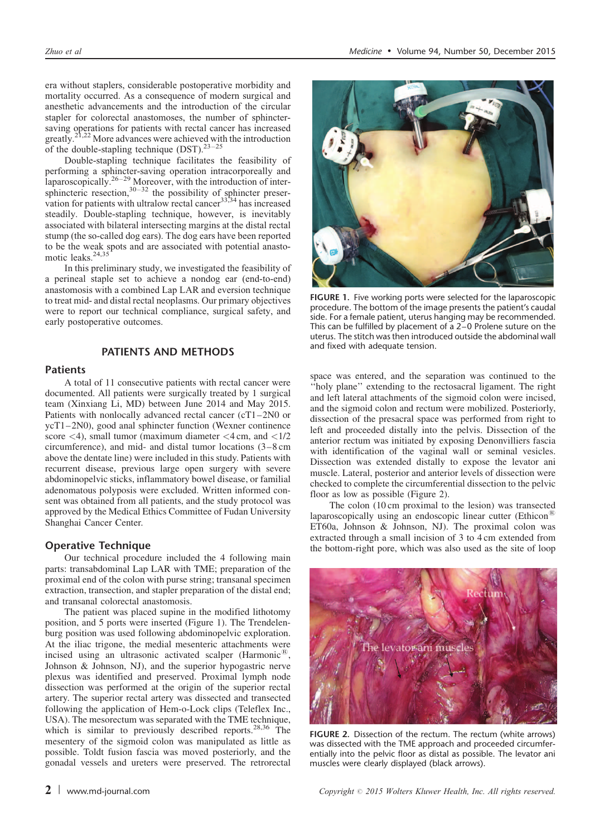era without staplers, considerable postoperative morbidity and mortality occurred. As a consequence of modern surgical and anesthetic advancements and the introduction of the circular stapler for colorectal anastomoses, the number of sphinctersaving operations for patients with rectal cancer has increased greatly.<sup>[21,22](#page-7-0)</sup> More advances were achieved with the introduction of the double-stapling technique  $(DST)$ .<sup>[23–25](#page-7-0)</sup>

Double-stapling technique facilitates the feasibility of performing a sphincter-saving operation intracorporeally and laparoscopically.<sup>[26–29](#page-7-0)</sup> Moreover, with the introduction of intersphincteric resection,  $30-32$  the possibility of sphincter preservation for patients with ultralow rectal cancer $33,34$  has increased steadily. Double-stapling technique, however, is inevitably associated with bilateral intersecting margins at the distal rectal stump (the so-called dog ears). The dog ears have been reported to be the weak spots and are associated with potential anastomotic leaks. $24,35$ 

In this preliminary study, we investigated the feasibility of a perineal staple set to achieve a nondog ear (end-to-end) anastomosis with a combined Lap LAR and eversion technique to treat mid- and distal rectal neoplasms. Our primary objectives were to report our technical compliance, surgical safety, and early postoperative outcomes.

## PATIENTS AND METHODS

## Patients

A total of 11 consecutive patients with rectal cancer were documented. All patients were surgically treated by 1 surgical team (Xinxiang Li, MD) between June 2014 and May 2015. Patients with nonlocally advanced rectal cancer (cT1–2N0 or ycT1–2N0), good anal sphincter function (Wexner continence score  $\langle 4 \rangle$ , small tumor (maximum diameter  $\langle 4 \text{ cm}, \text{ and } \langle 1/2 \rangle$ circumference), and mid- and distal tumor locations (3–8 cm above the dentate line) were included in this study. Patients with recurrent disease, previous large open surgery with severe abdominopelvic sticks, inflammatory bowel disease, or familial adenomatous polyposis were excluded. Written informed consent was obtained from all patients, and the study protocol was approved by the Medical Ethics Committee of Fudan University Shanghai Cancer Center.

#### Operative Technique

Our technical procedure included the 4 following main parts: transabdominal Lap LAR with TME; preparation of the proximal end of the colon with purse string; transanal specimen extraction, transection, and stapler preparation of the distal end; and transanal colorectal anastomosis.

The patient was placed supine in the modified lithotomy position, and 5 ports were inserted (Figure 1). The Trendelenburg position was used following abdominopelvic exploration. At the iliac trigone, the medial mesenteric attachments were incised using an ultrasonic activated scalper (Harmonic<sup> $t$ 8</sup>, Johnson & Johnson, NJ), and the superior hypogastric nerve plexus was identified and preserved. Proximal lymph node dissection was performed at the origin of the superior rectal artery. The superior rectal artery was dissected and transected following the application of Hem-o-Lock clips (Teleflex Inc., USA). The mesorectum was separated with the TME technique, which is similar to previously described reports.<sup>[28,36](#page-7-0)</sup> The mesentery of the sigmoid colon was manipulated as little as possible. Toldt fusion fascia was moved posteriorly, and the gonadal vessels and ureters were preserved. The retrorectal



FIGURE 1. Five working ports were selected for the laparoscopic procedure. The bottom of the image presents the patient's caudal side. For a female patient, uterus hanging may be recommended. This can be fulfilled by placement of a 2–0 Prolene suture on the uterus. The stitch was then introduced outside the abdominal wall and fixed with adequate tension.

space was entered, and the separation was continued to the ''holy plane'' extending to the rectosacral ligament. The right and left lateral attachments of the sigmoid colon were incised, and the sigmoid colon and rectum were mobilized. Posteriorly, dissection of the presacral space was performed from right to left and proceeded distally into the pelvis. Dissection of the anterior rectum was initiated by exposing Denonvilliers fascia with identification of the vaginal wall or seminal vesicles. Dissection was extended distally to expose the levator ani muscle. Lateral, posterior and anterior levels of dissection were checked to complete the circumferential dissection to the pelvic floor as low as possible (Figure 2).

The colon (10 cm proximal to the lesion) was transected laparoscopically using an endoscopic linear cutter (Ethicon<sup> $18$ )</sup> ET60a, Johnson & Johnson, NJ). The proximal colon was extracted through a small incision of 3 to 4 cm extended from the bottom-right pore, which was also used as the site of loop



FIGURE 2. Dissection of the rectum. The rectum (white arrows) was dissected with the TME approach and proceeded circumferentially into the pelvic floor as distal as possible. The levator ani muscles were clearly displayed (black arrows).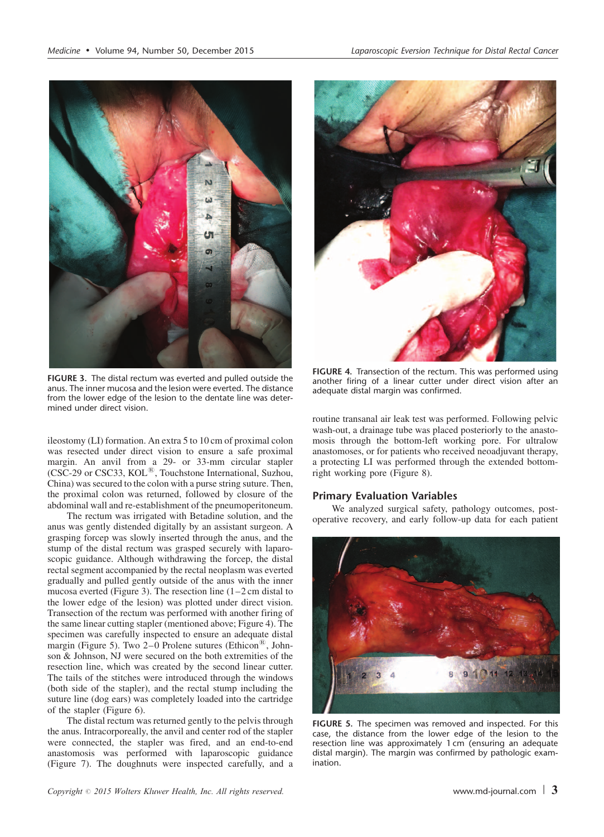

FIGURE 3. The distal rectum was everted and pulled outside the anus. The inner mucosa and the lesion were everted. The distance from the lower edge of the lesion to the dentate line was determined under direct vision.

ileostomy (LI) formation. An extra 5 to 10 cm of proximal colon was resected under direct vision to ensure a safe proximal margin. An anvil from a 29- or 33-mm circular stapler (CSC-29 or CSC33, KOL<sup>®</sup>, Touchstone International, Suzhou, China) was secured to the colon with a purse string suture. Then, the proximal colon was returned, followed by closure of the abdominal wall and re-establishment of the pneumoperitoneum.

The rectum was irrigated with Betadine solution, and the anus was gently distended digitally by an assistant surgeon. A grasping forcep was slowly inserted through the anus, and the stump of the distal rectum was grasped securely with laparoscopic guidance. Although withdrawing the forcep, the distal rectal segment accompanied by the rectal neoplasm was everted gradually and pulled gently outside of the anus with the inner mucosa everted (Figure 3). The resection line (1–2 cm distal to the lower edge of the lesion) was plotted under direct vision. Transection of the rectum was performed with another firing of the same linear cutting stapler (mentioned above; Figure 4). The specimen was carefully inspected to ensure an adequate distal margin (Figure 5). Two  $2-0$  Prolene sutures (Ethicon<sup>®</sup>, Johnson & Johnson, NJ were secured on the both extremities of the resection line, which was created by the second linear cutter. The tails of the stitches were introduced through the windows (both side of the stapler), and the rectal stump including the suture line (dog ears) was completely loaded into the cartridge of the stapler [\(Figure 6](#page-3-0)).

The distal rectum was returned gently to the pelvis through the anus. Intracorporeally, the anvil and center rod of the stapler were connected, the stapler was fired, and an end-to-end anastomosis was performed with laparoscopic guidance ([Figure 7\)](#page-3-0). The doughnuts were inspected carefully, and a

FIGURE 4. Transection of the rectum. This was performed using another firing of a linear cutter under direct vision after an adequate distal margin was confirmed.

routine transanal air leak test was performed. Following pelvic wash-out, a drainage tube was placed posteriorly to the anastomosis through the bottom-left working pore. For ultralow anastomoses, or for patients who received neoadjuvant therapy, a protecting LI was performed through the extended bottomright working pore ([Figure 8\)](#page-3-0).

## Primary Evaluation Variables

We analyzed surgical safety, pathology outcomes, postoperative recovery, and early follow-up data for each patient



FIGURE 5. The specimen was removed and inspected. For this case, the distance from the lower edge of the lesion to the resection line was approximately 1 cm (ensuring an adequate distal margin). The margin was confirmed by pathologic examination.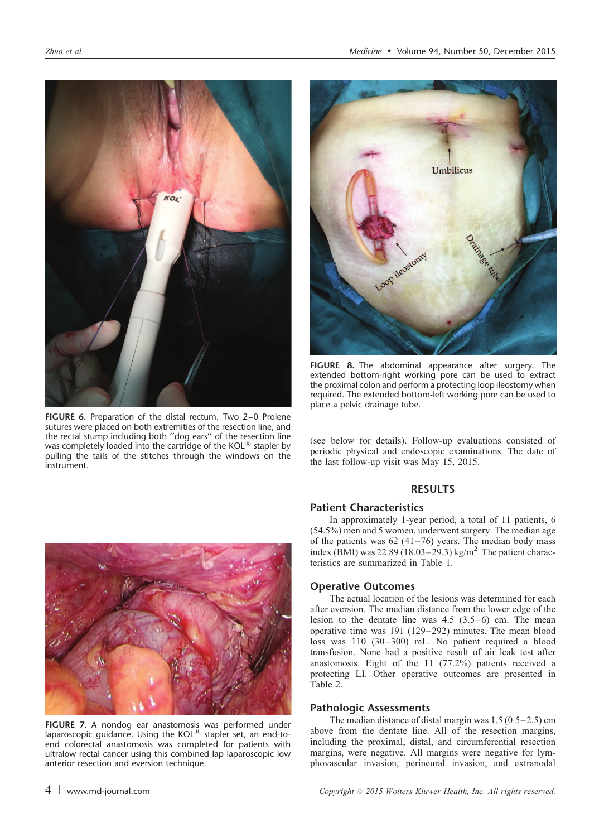<span id="page-3-0"></span>

FIGURE 6. Preparation of the distal rectum. Two 2–0 Prolene sutures were placed on both extremities of the resection line, and the rectal stump including both ''dog ears'' of the resection line was completely loaded into the cartridge of the  $KOL^{18}$  stapler by pulling the tails of the stitches through the windows on the instrument.



FIGURE 8. The abdominal appearance after surgery. The extended bottom-right working pore can be used to extract the proximal colon and perform a protecting loop ileostomy when required. The extended bottom-left working pore can be used to place a pelvic drainage tube.

(see below for details). Follow-up evaluations consisted of periodic physical and endoscopic examinations. The date of the last follow-up visit was May 15, 2015.

# RESULTS

## Patient Characteristics

In approximately 1-year period, a total of 11 patients, 6 (54.5%) men and 5 women, underwent surgery. The median age of the patients was  $62(41-76)$  years. The median body mass index (BMI) was  $22.89(18.03-29.3)$  kg/m<sup>2</sup>. The patient characteristics are summarized in [Table 1.](#page-4-0)

## Operative Outcomes

The actual location of the lesions was determined for each after eversion. The median distance from the lower edge of the lesion to the dentate line was 4.5 (3.5–6) cm. The mean operative time was 191 (129–292) minutes. The mean blood loss was 110 (30–300) mL. No patient required a blood transfusion. None had a positive result of air leak test after anastomosis. Eight of the 11 (77.2%) patients received a protecting LI. Other operative outcomes are presented in [Table 2.](#page-4-0)

## Pathologic Assessments

The median distance of distal margin was 1.5 (0.5–2.5) cm above from the dentate line. All of the resection margins, including the proximal, distal, and circumferential resection margins, were negative. All margins were negative for lymphovascular invasion, perineural invasion, and extranodal



FIGURE 7. A nondog ear anastomosis was performed under laparoscopic guidance. Using the KOL $^{\textcircled{\tiny{\textregistered}} }$  stapler set, an end-toend colorectal anastomosis was completed for patients with ultralow rectal cancer using this combined lap laparoscopic low anterior resection and eversion technique.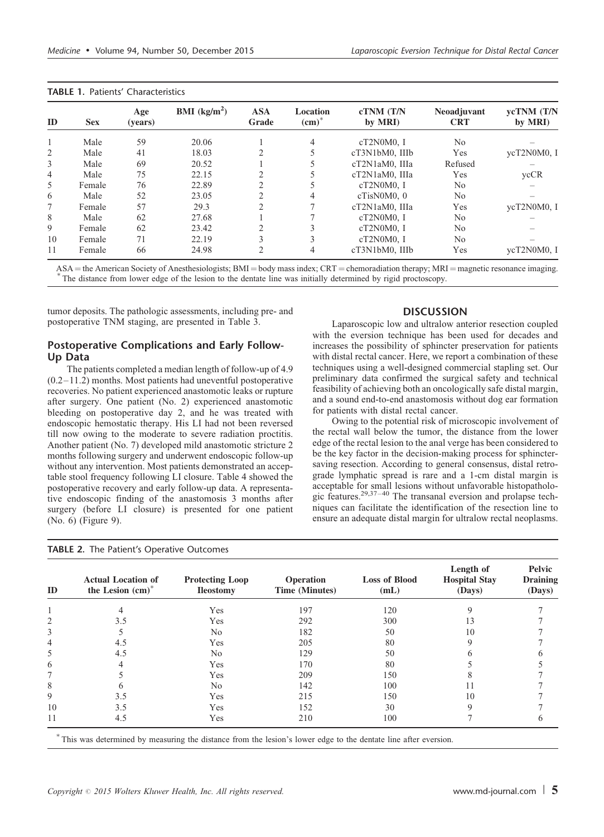<span id="page-4-0"></span>TABLE 1. Patients' Characteristics

| ID             | <b>Sex</b> | Age<br>(vears) | BMI (kg/m <sup>2</sup> ) | <b>ASA</b><br>Grade            | Location<br>$\text{(cm)}^*$ | cTNM (T/N<br>by MRI) | <b>Neoadjuvant</b><br><b>CRT</b> | ycTNM (T/N<br>by MRI) |
|----------------|------------|----------------|--------------------------|--------------------------------|-----------------------------|----------------------|----------------------------------|-----------------------|
|                | Male       | 59             | 20.06                    |                                | 4                           | cT2N0M0.1            | No.                              |                       |
| 2              | Male       | 41             | 18.03                    |                                |                             | cT3N1bM0, IIIb       | Yes                              | ycT2N0M0, I           |
| 3              | Male       | 69             | 20.52                    |                                |                             | cT2N1aM0. IIIa       | Refused                          |                       |
| $\overline{4}$ | Male       | 75             | 22.15                    |                                |                             | cT2N1aM0, IIIa       | Yes                              | ycCR                  |
| 5              | Female     | 76             | 22.89                    | $\mathcal{L}$                  |                             | $cT2N0M0.$ I         | No.                              |                       |
| 6              | Male       | 52             | 23.05                    |                                | 4                           | cTisN0M0.0           | No.                              |                       |
| 7              | Female     | 57             | 29.3                     | <sup><math>\gamma</math></sup> |                             | cT2N1aM0, IIIa       | Yes                              | vcT2N0M0, I           |
| 8              | Male       | 62             | 27.68                    |                                |                             | $cT2N0M0.$ I         | No.                              |                       |
| 9              | Female     | 62             | 23.42                    | 2                              | $\mathcal{E}$               | $cT2N0M0.$ I         | N <sub>0</sub>                   |                       |
| 10             | Female     | 71             | 22.19                    | $\rightarrow$                  | 3                           | cT2N0M0, I           | N <sub>0</sub>                   |                       |
| 11             | Female     | 66             | 24.98                    | 2                              | 4                           | cT3N1bM0, IIIb       | Yes                              | vcT2N0M0, I           |

 $ASA$  = the American Society of Anesthesiologists;  $BMI = body$  mass index;  $CRT =$  chemoradiation therapy;  $MRI =$  magnetic resonance imaging. \* The distance from lower edge of the lesion to the dentate line was initially determined by

tumor deposits. The pathologic assessments, including pre- and postoperative TNM staging, are presented in [Table 3.](#page-5-0)

## Postoperative Complications and Early Follow-Up Data

The patients completed a median length of follow-up of 4.9  $(0.2-11.2)$  months. Most patients had uneventful postoperative recoveries. No patient experienced anastomotic leaks or rupture after surgery. One patient (No. 2) experienced anastomotic bleeding on postoperative day 2, and he was treated with endoscopic hemostatic therapy. His LI had not been reversed till now owing to the moderate to severe radiation proctitis. Another patient (No. 7) developed mild anastomotic stricture 2 months following surgery and underwent endoscopic follow-up without any intervention. Most patients demonstrated an acceptable stool frequency following LI closure. [Table 4](#page-6-0) showed the postoperative recovery and early follow-up data. A representative endoscopic finding of the anastomosis 3 months after surgery (before LI closure) is presented for one patient (No. 6) ([Figure 9](#page-5-0)).

TABLE 2. The Patient's Operative Outcomes

## **DISCUSSION**

Laparoscopic low and ultralow anterior resection coupled with the eversion technique has been used for decades and increases the possibility of sphincter preservation for patients with distal rectal cancer. Here, we report a combination of these techniques using a well-designed commercial stapling set. Our preliminary data confirmed the surgical safety and technical feasibility of achieving both an oncologically safe distal margin, and a sound end-to-end anastomosis without dog ear formation for patients with distal rectal cancer.

Owing to the potential risk of microscopic involvement of the rectal wall below the tumor, the distance from the lower edge of the rectal lesion to the anal verge has been considered to be the key factor in the decision-making process for sphinctersaving resection. According to general consensus, distal retrograde lymphatic spread is rare and a 1-cm distal margin is acceptable for small lesions without unfavorable histopathologic features. $2^{9,37-40}$  The transanal eversion and prolapse techniques can facilitate the identification of the resection line to ensure an adequate distal margin for ultralow rectal neoplasms.

| ID | <b>Actual Location of</b><br>the Lesion $(cm)^*$ | <b>Protecting Loop</b><br><b>Ileostomy</b> | <b>Operation</b><br>Time (Minutes) | <b>Loss of Blood</b><br>(mL) | Length of<br><b>Hospital Stay</b><br>(Days) | Pelvic<br><b>Draining</b><br>(Days) |
|----|--------------------------------------------------|--------------------------------------------|------------------------------------|------------------------------|---------------------------------------------|-------------------------------------|
|    |                                                  | Yes                                        | 197                                | 120                          |                                             |                                     |
| 2  | 3.5                                              | Yes                                        | 292                                | 300                          | 13                                          |                                     |
| 3  |                                                  | No                                         | 182                                | 50                           | 10                                          |                                     |
| 4  | 4.5                                              | Yes                                        | 205                                | 80                           |                                             |                                     |
| 5  | 4.5                                              | No                                         | 129                                | 50                           |                                             |                                     |
| 6  |                                                  | Yes                                        | 170                                | 80                           |                                             |                                     |
|    |                                                  | Yes                                        | 209                                | 150                          |                                             |                                     |
| 8  |                                                  | No                                         | 142                                | 100                          |                                             |                                     |
| 9  | 3.5                                              | Yes                                        | 215                                | 150                          | 10                                          |                                     |
| 10 | 3.5                                              | Yes                                        | 152                                | 30                           | Q                                           |                                     |
| 11 | 4.5                                              | Yes                                        | 210                                | 100                          |                                             |                                     |

This was determined by measuring the distance from the lesion's lower edge to the dentate line after eversion.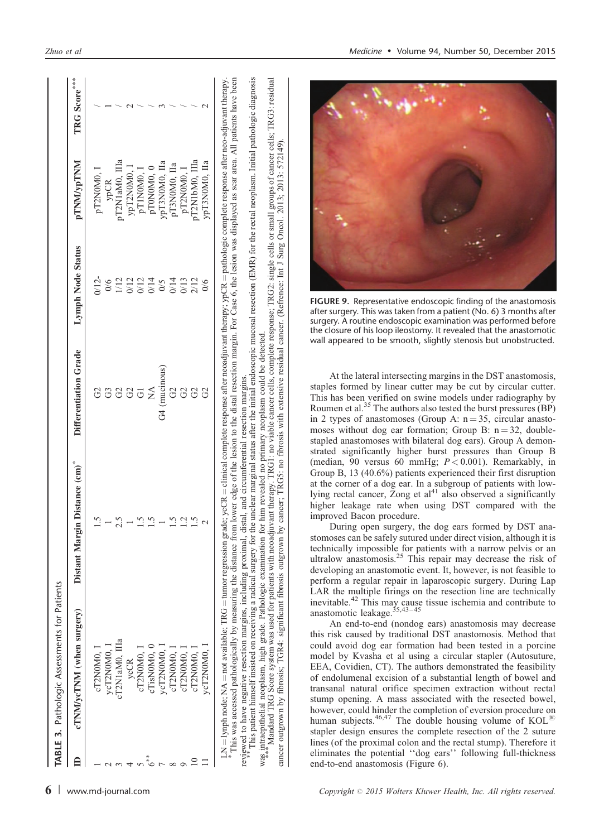| Distant Margin Distance (cm)*<br>cTNM/ycTNM (when surgery)<br>cT2N1aM0. IIIa<br>ycT2N0M0, 1<br>cTisN0M0, C<br>ycT2N0M0,<br>cT2N0M0, 1<br>cT2N0M0,<br>ycCR | Differentiation Grade | Lymph Node Status<br>V12<br>0/6 | <b>MNTNN/VDTNNI</b> |              |
|-----------------------------------------------------------------------------------------------------------------------------------------------------------|-----------------------|---------------------------------|---------------------|--------------|
|                                                                                                                                                           |                       |                                 |                     | TRG Score*** |
|                                                                                                                                                           |                       |                                 | pT2N0M0,            |              |
|                                                                                                                                                           |                       |                                 | ypCR                |              |
|                                                                                                                                                           |                       | $\overline{12}$                 | ST2N1aM0, IIIa      |              |
|                                                                                                                                                           | 8                     | 0/12                            | ypT2N0M0, 1         |              |
|                                                                                                                                                           |                       | 0/12                            | pT1N0M0, 1          |              |
|                                                                                                                                                           |                       | 0/14                            | pT0N0M0, 0          |              |
|                                                                                                                                                           | G4 (mucinous)         | 0/5                             | урТЗN0М0, Па        |              |
| cT2N0M0,                                                                                                                                                  | 2                     | 1/14                            | pT3N0M0, IIa        |              |
| cT2N0M0,                                                                                                                                                  |                       | 3/13                            | pT2N0M0, 1          |              |
| cT2N0M0,                                                                                                                                                  |                       | 2/12                            | ,T2N1bM0, IIIa      |              |
| ycT2N0M0, l                                                                                                                                               |                       | $\frac{6}{5}$                   | урТЗN0М0, Па        |              |

This was accessed pathologically by measuring the distance from lower edge of the lesion to the distal resection margin. For Case 6, the lesion was displayed as scar area. All patients have been This patient himself insisted on receiving a radical surgery for the unclear marginal status after the initial endoscopic mucosal resection (EMR) for the rectal neoplasm. Initial pathologic diagnosis pathologic complete response after neo-adjuvant therapy. This was accessed pathologically by measuring the distance from lower edge of the lesion to the distal resection margin. For Case 6, the lesion was displayed as scar area. All patients have been reviewed to have negative resection margins, including proximal, distal, and circumferential resection margins.<br>\*\* This patient himself insisted on receiving a radical surgery for the unclear marginal status after the init clinical complete response after neoadjuvant therapy; ypCR reviewed to have negative resection margins, including proximal, distal, and circumferential resection margins. tumor regression grade; ycCR not available; TRG lynph node; NA ×

was intraepithelial neoplasm, high grade. Pathologic examination for him revealed no primary neoplasm could be detected.<br>\*\*\*\* Mandard TRG Score system was used for patients with neoadjuvant therapy. TRG1: no viable cance r was intraepithelial neoplasm, high grade. Pathologic examination for him revealed no primary neoplasm could be detected.<br>\*\*\*\* Mandard TRG Score system was used for patients with neoadjuvant therapy. TRG1: no viable cance c cancer outgrown by fibrosis; TGR4: significant fibrosis outgrown by cancer; TRG5: no fibrosis with extensive residual cancer. (Refrence: Int J Surg Oncol. 2013; 2013: 572149). cancer outgrown by fibrosis; TGR4: significant fibrosis outgrown by cancer; TRG5: no fibrosis with extensive residual cancer. (Refrence: Int J Surg Oncol. 2013; 2013: 572149).

<span id="page-5-0"></span>



FIGURE 9. Representative endoscopic finding of the anastomosis after surgery. This was taken from a patient (No. 6) 3 months after surgery. A routine endoscopic examination was performed before the closure of his loop ileostomy. It revealed that the anastomotic wall appeared to be smooth, slightly stenosis but unobstructed.

At the lateral intersecting margins in the DST anastomosis, staples formed by linear cutter may be cut by circular cutter. This has been verified on swine models under radiography by Roumen et al.<sup>[35](#page-7-0)</sup> The authors also tested the burst pressures (BP) in 2 types of anastomoses (Group A:  $n = 35$ , circular anastomoses without dog ear formation; Group B:  $n = 32$ , doublestapled anastomoses with bilateral dog ears). Group A demonstrated significantly higher burst pressures than Group B (median, 90 versus 60 mmHg;  $P < 0.001$ ). Remarkably, in Group B, 13 (40.6%) patients experienced their first disruption at the corner of a dog ear. In a subgroup of patients with low-lying rectal cancer, Zong et  $al<sup>41</sup>$  $al<sup>41</sup>$  $al<sup>41</sup>$  also observed a significantly higher leakage rate when using DST compared with the improved Bacon procedure.

During open surgery, the dog ears formed by DST anastomoses can be safely sutured under direct vision, although it is technically impossible for patients with a narrow pelvis or an ultralow anastomosis.<sup>[25](#page-7-0)</sup> This repair may decrease the risk of developing an anastomotic event. It, however, is not feasible to perform a regular repair in laparoscopic surgery. During Lap LAR the multiple firings on the resection line are technically inevitable.[42](#page-7-0) This may cause tissue ischemia and contribute to anastomotic leakage.<sup>35,43-45</sup>

An end-to-end (nondog ears) anastomosis may decrease this risk caused by traditional DST anastomosis. Method that could avoid dog ear formation had been tested in a porcine model by Kvasha et al using a circular stapler (Autosuture, EEA, Covidien, CT). The authors demonstrated the feasibility of endolumenal excision of a substantial length of bowel and transanal natural orifice specimen extraction without rectal stump opening. A mass associated with the resected bowel, however, could hinder the completion of eversion procedure on human subjects.<sup>[46,47](#page-8-0)</sup> The double housing volume of  $KOL^{(E)}$ stapler design ensures the complete resection of the 2 suture lines (of the proximal colon and the rectal stump). Therefore it eliminates the potential ''dog ears'' following full-thickness end-to-end anastomosis ([Figure 6\)](#page-3-0).

 $\mathbf{I}$ 

 $1 * 1$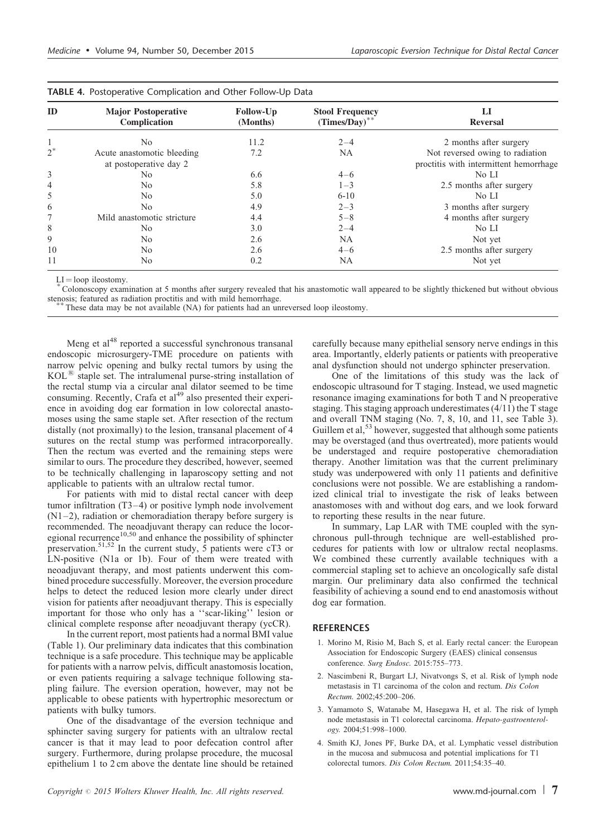<span id="page-6-0"></span>

|                | <b>TABLE 4.</b> Postoperative Complication and Other Follow-Up Data |                       |                                              |                                                                           |  |
|----------------|---------------------------------------------------------------------|-----------------------|----------------------------------------------|---------------------------------------------------------------------------|--|
| ID             | <b>Major Postoperative</b><br>Complication                          | Follow-Up<br>(Months) | <b>Stool Frequency</b><br>$(Times/Day)^{**}$ | LI<br>Reversal                                                            |  |
|                | N <sub>0</sub>                                                      | 11.2                  | $2 - 4$                                      | 2 months after surgery                                                    |  |
| $2^*$          | Acute anastomotic bleeding<br>at postoperative day 2                | 7.2                   | <b>NA</b>                                    | Not reversed owing to radiation<br>proctitis with intermittent hemorrhage |  |
| 3              | N <sub>0</sub>                                                      | 6.6                   | $4 - 6$                                      | No LI                                                                     |  |
| $\overline{4}$ | N <sub>0</sub>                                                      | 5.8                   | $1 - 3$                                      | 2.5 months after surgery                                                  |  |
| 5              | N <sub>0</sub>                                                      | 5.0                   | $6 - 10$                                     | No LI                                                                     |  |
| 6              | N <sub>0</sub>                                                      | 4.9                   | $2 - 3$                                      | 3 months after surgery                                                    |  |
| 7              | Mild anastomotic stricture                                          | 4.4                   | $5 - 8$                                      | 4 months after surgery                                                    |  |
| 8              | N <sub>0</sub>                                                      | 3.0                   | $2 - 4$                                      | No LI                                                                     |  |
| 9              | N <sub>0</sub>                                                      | 2.6                   | <b>NA</b>                                    | Not yet                                                                   |  |
| 10             | N <sub>0</sub>                                                      | 2.6                   | $4 - 6$                                      | 2.5 months after surgery                                                  |  |
| 11             | N <sub>0</sub>                                                      | 0.2                   | NA                                           | Not yet                                                                   |  |

LI = loop ileostomy.<br>\* Colonoscopy examination at 5 months after surgery revealed that his anastomotic wall appeared to be slightly thickened but without obvious stenosis; featured as radiation proctitis and with mild hem

These data may be not available (NA) for patients had an unreversed loop ileostomy.

Meng et al<sup>[48](#page-8-0)</sup> reported a successful synchronous transanal endoscopic microsurgery-TME procedure on patients with narrow pelvic opening and bulky rectal tumors by using the  $KOL<sup>88</sup>$  staple set. The intralumenal purse-string installation of the rectal stump via a circular anal dilator seemed to be time consuming. Recently, Crafa et al<sup>49</sup> also presented their experience in avoiding dog ear formation in low colorectal anastomoses using the same staple set. After resection of the rectum distally (not proximally) to the lesion, transanal placement of 4 sutures on the rectal stump was performed intracorporeally. Then the rectum was everted and the remaining steps were similar to ours. The procedure they described, however, seemed to be technically challenging in laparoscopy setting and not applicable to patients with an ultralow rectal tumor.

For patients with mid to distal rectal cancer with deep tumor infiltration (T3–4) or positive lymph node involvement (N1–2), radiation or chemoradiation therapy before surgery is recommended. The neoadjuvant therapy can reduce the locor-egional recurrence<sup>[10,50](#page-7-0)</sup> and enhance the possibility of sphincter preservation.<sup>[51,52](#page-8-0)</sup> In the current study,  $\overline{5}$  patients were cT3 or LN-positive (N1a or 1b). Four of them were treated with neoadjuvant therapy, and most patients underwent this combined procedure successfully. Moreover, the eversion procedure helps to detect the reduced lesion more clearly under direct vision for patients after neoadjuvant therapy. This is especially important for those who only has a ''scar-liking'' lesion or clinical complete response after neoadjuvant therapy (ycCR).

In the current report, most patients had a normal BMI value ([Table 1](#page-4-0)). Our preliminary data indicates that this combination technique is a safe procedure. This technique may be applicable for patients with a narrow pelvis, difficult anastomosis location, or even patients requiring a salvage technique following stapling failure. The eversion operation, however, may not be applicable to obese patients with hypertrophic mesorectum or patients with bulky tumors.

One of the disadvantage of the eversion technique and sphincter saving surgery for patients with an ultralow rectal cancer is that it may lead to poor defecation control after surgery. Furthermore, during prolapse procedure, the mucosal epithelium 1 to 2 cm above the dentate line should be retained

carefully because many epithelial sensory nerve endings in this area. Importantly, elderly patients or patients with preoperative anal dysfunction should not undergo sphincter preservation.

One of the limitations of this study was the lack of endoscopic ultrasound for T staging. Instead, we used magnetic resonance imaging examinations for both T and N preoperative staging. This staging approach underestimates (4/11) the T stage and overall TNM staging (No. 7, 8, 10, and 11, see [Table 3](#page-5-0)). Guillem et al,<sup>[53](#page-8-0)</sup> however, suggested that although some patients may be overstaged (and thus overtreated), more patients would be understaged and require postoperative chemoradiation therapy. Another limitation was that the current preliminary study was underpowered with only 11 patients and definitive conclusions were not possible. We are establishing a randomized clinical trial to investigate the risk of leaks between anastomoses with and without dog ears, and we look forward to reporting these results in the near future.

In summary, Lap LAR with TME coupled with the synchronous pull-through technique are well-established procedures for patients with low or ultralow rectal neoplasms. We combined these currently available techniques with a commercial stapling set to achieve an oncologically safe distal margin. Our preliminary data also confirmed the technical feasibility of achieving a sound end to end anastomosis without dog ear formation.

# **REFERENCES**

- 1. Morino M, Risio M, Bach S, et al. Early rectal cancer: the European Association for Endoscopic Surgery (EAES) clinical consensus conference. Surg Endosc. 2015:755-773.
- 2. Nascimbeni R, Burgart LJ, Nivatvongs S, et al. Risk of lymph node metastasis in T1 carcinoma of the colon and rectum. Dis Colon Rectum. 2002;45:200–206.
- 3. Yamamoto S, Watanabe M, Hasegawa H, et al. The risk of lymph node metastasis in T1 colorectal carcinoma. Hepato-gastroenterology. 2004;51:998–1000.
- 4. Smith KJ, Jones PF, Burke DA, et al. Lymphatic vessel distribution in the mucosa and submucosa and potential implications for T1 colorectal tumors. Dis Colon Rectum. 2011;54:35–40.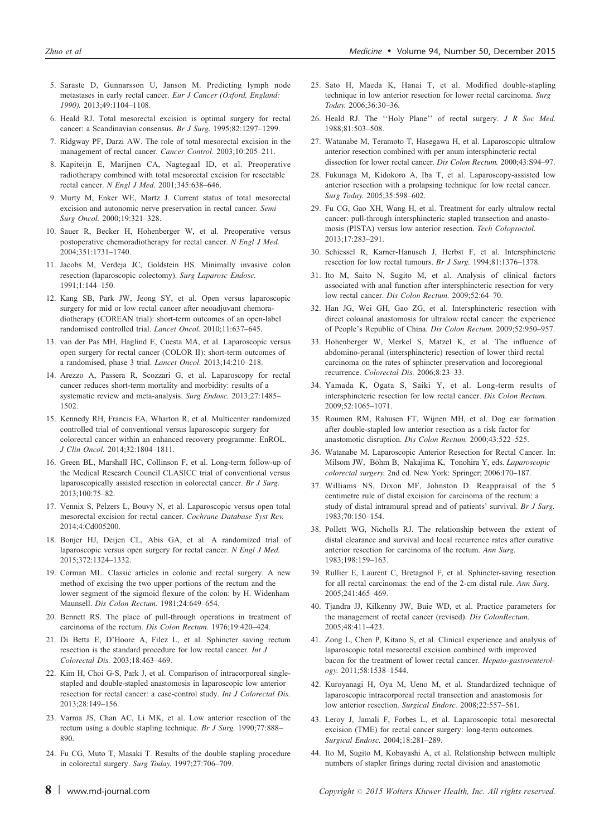- <span id="page-7-0"></span>5. Saraste D, Gunnarsson U, Janson M. Predicting lymph node metastases in early rectal cancer. Eur J Cancer (Oxford, England: 1990). 2013;49:1104–1108.
- 6. Heald RJ. Total mesorectal excision is optimal surgery for rectal cancer: a Scandinavian consensus. Br J Surg. 1995;82:1297–1299.
- 7. Ridgway PF, Darzi AW. The role of total mesorectal excision in the management of rectal cancer. Cancer Control. 2003;10:205–211.
- 8. Kapiteijn E, Marijnen CA, Nagtegaal ID, et al. Preoperative radiotherapy combined with total mesorectal excision for resectable rectal cancer. N Engl J Med. 2001;345:638–646.
- 9. Murty M, Enker WE, Martz J. Current status of total mesorectal excision and autonomic nerve preservation in rectal cancer. Semi Surg Oncol. 2000;19:321–328.
- 10. Sauer R, Becker H, Hohenberger W, et al. Preoperative versus postoperative chemoradiotherapy for rectal cancer. N Engl J Med. 2004;351:1731–1740.
- 11. Jacobs M, Verdeja JC, Goldstein HS. Minimally invasive colon resection (laparoscopic colectomy). Surg Laparosc Endosc. 1991;1:144–150.
- 12. Kang SB, Park JW, Jeong SY, et al. Open versus laparoscopic surgery for mid or low rectal cancer after neoadjuvant chemoradiotherapy (COREAN trial): short-term outcomes of an open-label randomised controlled trial. Lancet Oncol. 2010;11:637–645.
- 13. van der Pas MH, Haglind E, Cuesta MA, et al. Laparoscopic versus open surgery for rectal cancer (COLOR II): short-term outcomes of a randomised, phase 3 trial. Lancet Oncol. 2013;14:210–218.
- 14. Arezzo A, Passera R, Scozzari G, et al. Laparoscopy for rectal cancer reduces short-term mortality and morbidity: results of a systematic review and meta-analysis. Surg Endosc. 2013;27:1485– 1502.
- 15. Kennedy RH, Francis EA, Wharton R, et al. Multicenter randomized controlled trial of conventional versus laparoscopic surgery for colorectal cancer within an enhanced recovery programme: EnROL. J Clin Oncol. 2014;32:1804–1811.
- 16. Green BL, Marshall HC, Collinson F, et al. Long-term follow-up of the Medical Research Council CLASICC trial of conventional versus laparoscopically assisted resection in colorectal cancer. Br J Surg. 2013;100:75–82.
- 17. Vennix S, Pelzers L, Bouvy N, et al. Laparoscopic versus open total mesorectal excision for rectal cancer. Cochrane Database Syst Rev. 2014;4:Cd005200.
- 18. Bonjer HJ, Deijen CL, Abis GA, et al. A randomized trial of laparoscopic versus open surgery for rectal cancer. N Engl J Med. 2015;372:1324–1332.
- 19. Corman ML. Classic articles in colonic and rectal surgery. A new method of excising the two upper portions of the rectum and the lower segment of the sigmoid flexure of the colon: by H. Widenham Maunsell. Dis Colon Rectum. 1981;24:649–654.
- 20. Bennett RS. The place of pull-through operations in treatment of carcinoma of the rectum. Dis Colon Rectum. 1976;19:420–424.
- 21. Di Betta E, D'Hoore A, Filez L, et al. Sphincter saving rectum resection is the standard procedure for low rectal cancer. Int J Colorectal Dis. 2003;18:463–469.
- 22. Kim H, Choi G-S, Park J, et al. Comparison of intracorporeal singlestapled and double-stapled anastomosis in laparoscopic low anterior resection for rectal cancer: a case-control study. Int J Colorectal Dis. 2013;28:149–156.
- 23. Varma JS, Chan AC, Li MK, et al. Low anterior resection of the rectum using a double stapling technique. Br J Surg. 1990;77:888– 890.
- 24. Fu CG, Muto T, Masaki T. Results of the double stapling procedure in colorectal surgery. Surg Today. 1997;27:706–709.
- 25. Sato H, Maeda K, Hanai T, et al. Modified double-stapling technique in low anterior resection for lower rectal carcinoma. Surg Today. 2006;36:30–36.
- 26. Heald RJ. The ''Holy Plane'' of rectal surgery. J R Soc Med. 1988;81:503–508.
- 27. Watanabe M, Teramoto T, Hasegawa H, et al. Laparoscopic ultralow anterior resection combined with per anum intersphincteric rectal dissection for lower rectal cancer. Dis Colon Rectum. 2000;43:S94–97.
- 28. Fukunaga M, Kidokoro A, Iba T, et al. Laparoscopy-assisted low anterior resection with a prolapsing technique for low rectal cancer. Surg Today. 2005;35:598–602.
- 29. Fu CG, Gao XH, Wang H, et al. Treatment for early ultralow rectal cancer: pull-through intersphincteric stapled transection and anastomosis (PISTA) versus low anterior resection. Tech Coloproctol. 2013;17:283–291.
- 30. Schiessel R, Karner-Hanusch J, Herbst F, et al. Intersphincteric resection for low rectal tumours. Br J Surg. 1994;81:1376–1378.
- 31. Ito M, Saito N, Sugito M, et al. Analysis of clinical factors associated with anal function after intersphincteric resection for very low rectal cancer. Dis Colon Rectum. 2009;52:64–70.
- 32. Han JG, Wei GH, Gao ZG, et al. Intersphincteric resection with direct coloanal anastomosis for ultralow rectal cancer: the experience of People's Republic of China. Dis Colon Rectum. 2009;52:950–957.
- 33. Hohenberger W, Merkel S, Matzel K, et al. The influence of abdomino-peranal (intersphincteric) resection of lower third rectal carcinoma on the rates of sphincter preservation and locoregional recurrence. Colorectal Dis. 2006;8:23–33.
- 34. Yamada K, Ogata S, Saiki Y, et al. Long-term results of intersphincteric resection for low rectal cancer. Dis Colon Rectum. 2009;52:1065–1071.
- 35. Roumen RM, Rahusen FT, Wijnen MH, et al. Dog ear formation after double-stapled low anterior resection as a risk factor for anastomotic disruption. Dis Colon Rectum. 2000;43:522–525.
- 36. Watanabe M. Laparoscopic Anterior Resection for Rectal Cancer. In: Milsom JW, Böhm B, Nakajima K, Tonohira Y, eds. Laparoscopic colorectal surgery. 2nd ed. New York: Springer; 2006:170–187.
- 37. Williams NS, Dixon MF, Johnston D. Reappraisal of the 5 centimetre rule of distal excision for carcinoma of the rectum: a study of distal intramural spread and of patients' survival. Br J Surg. 1983;70:150–154.
- 38. Pollett WG, Nicholls RJ. The relationship between the extent of distal clearance and survival and local recurrence rates after curative anterior resection for carcinoma of the rectum. Ann Surg. 1983;198:159–163.
- 39. Rullier E, Laurent C, Bretagnol F, et al. Sphincter-saving resection for all rectal carcinomas: the end of the 2-cm distal rule. Ann Surg. 2005;241:465–469.
- 40. Tjandra JJ, Kilkenny JW, Buie WD, et al. Practice parameters for the management of rectal cancer (revised). Dis ColonRectum. 2005;48:411–423.
- 41. Zong L, Chen P, Kitano S, et al. Clinical experience and analysis of laparoscopic total mesorectal excision combined with improved bacon for the treatment of lower rectal cancer. Hepato-gastroenterology. 2011;58:1538–1544.
- 42. Kuroyanagi H, Oya M, Ueno M, et al. Standardized technique of laparoscopic intracorporeal rectal transection and anastomosis for low anterior resection. Surgical Endosc. 2008;22:557–561.
- 43. Leroy J, Jamali F, Forbes L, et al. Laparoscopic total mesorectal excision (TME) for rectal cancer surgery: long-term outcomes. Surgical Endosc. 2004;18:281–289.
- 44. Ito M, Sugito M, Kobayashi A, et al. Relationship between multiple numbers of stapler firings during rectal division and anastomotic

8 | www.md-journal.com Copyright  $\odot$  2015 Wolters Kluwer Health, Inc. All rights reserved.